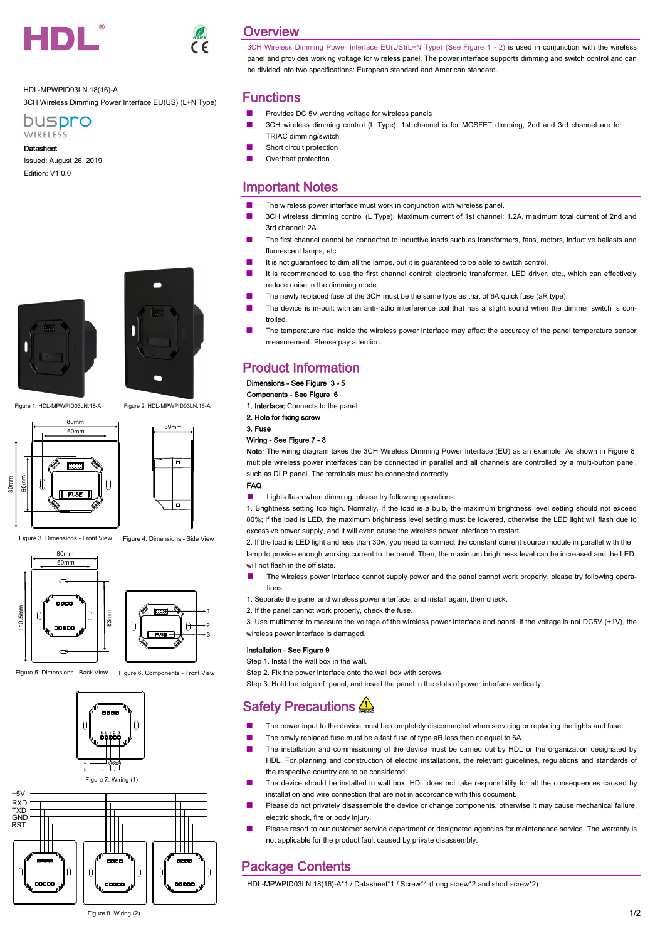

HDL-MPWPID03LN.18(16)-A 3CH Wireless Dimming Power Interface EU(US) (L+N Type)



Datasheet

Issued: August 26, 2019 Edition: V1.0.0





Figure 1. HDL-MPWPID03LN.18-A Figure 2. HDL-MPWPID03LN.16-A





Figure 3. Dimensions - Front View Figure 4. Dimensions - Side View











Figure 8. Wiring (2)

# **Overview**

3CH Wireless Dimming Power Interface EU(US)(L+N Type) (See Figure 1 - 2) is used in conjunction with the wireless panel and provides working voltage for wireless panel. The power interface supports dimming and switch control and can be divided into two specifications: European standard and American standard.

### Functions

- Provides DC 5V working voltage for wireless panels
- 3CH wireless dimming control (L Type): 1st channel is for MOSFET dimming, 2nd and 3rd channel are for TRIAC dimming/switch.
- Short circuit protection
- Overheat protection

# Important Notes

- The wireless power interface must work in conjunction with wireless panel.
- 3CH wireless dimming control (L Type): Maximum current of 1st channel: 1.2A, maximum total current of 2nd and 3rd channel: 2A.
- The first channel cannot be connected to inductive loads such as transformers, fans, motors, inductive ballasts and fluorescent lamps, etc.
- It is not guaranteed to dim all the lamps, but it is guaranteed to be able to switch control.
- It is recommended to use the first channel control: electronic transformer, LED driver, etc., which can effectively reduce noise in the dimming mode.
- The newly replaced fuse of the 3CH must be the same type as that of 6A quick fuse (aR type).
- The device is in-built with an anti-radio interference coil that has a slight sound when the dimmer switch is controlled.
- The temperature rise inside the wireless power interface may affect the accuracy of the panel temperature sensor measurement. Please pay attention.

## Product Information

## Dimensions - See Figure 3 - 5

Components - See Figure 6

1. Interface: Connects to the panel

2. Hole for fixing screw

# 3. Fuse

## Wiring - See Figure 7 - 8

Note: The wiring diagram takes the 3CH Wireless Dimming Power Interface (EU) as an example. As shown in Figure 8, multiple wireless power interfaces can be connected in parallel and all channels are controlled by a multi-button panel, such as DLP panel. The terminals must be connected correctly.

#### FAQ

■ Lights flash when dimming, please try following operations:

1. Brightness setting too high. Normally, if the load is a bulb, the maximum brightness level setting should not exceed 80%; if the load is LED, the maximum brightness level setting must be lowered, otherwise the LED light will flash due to excessive power supply, and it will even cause the wireless power interface to restart.

2. If the load is LED light and less than 30w, you need to connect the constant current source module in parallel with the lamp to provide enough working current to the panel. Then, the maximum brightness level can be increased and the LED will not flash in the off state.

- The wireless power interface cannot supply power and the panel cannot work properly, please try following operations:
- 1. Separate the panel and wireless power interface, and install again, then check.
- 2. If the panel cannot work properly, check the fuse.

3. Use multimeter to measure the voltage of the wireless power interface and panel. If the voltage is not DC5V (±1V), the wireless power interface is damaged.

#### Installation - See Figure 9

Step 1. Install the wall box in the wall.

Step 2. Fix the power interface onto the wall box with screws.

Step 3. Hold the edge of panel, and insert the panel in the slots of power interface vertically.

# **Safety Precautions**

- The power input to the device must be completely disconnected when servicing or replacing the lights and fuse.
- The newly replaced fuse must be a fast fuse of type aR less than or equal to 6A.
- The installation and commissioning of the device must be carried out by HDL or the organization designated by HDL. For planning and construction of electric installations, the relevant guidelines, regulations and standards of the respective country are to be considered.
- The device should be installed in wall box. HDL does not take responsibility for all the consequences caused by installation and wire connection that are not in accordance with this document.
- Please do not privately disassemble the device or change components, otherwise it may cause mechanical failure, electric shock, fire or body injury.
- Please resort to our customer service department or designated agencies for maintenance service. The warranty is not applicable for the product fault caused by private disassembly.

### Package Contents

HDL-MPWPID03LN.18(16)-A\*1 / Datasheet\*1 / Screw\*4 (Long screw\*2 and short screw\*2)